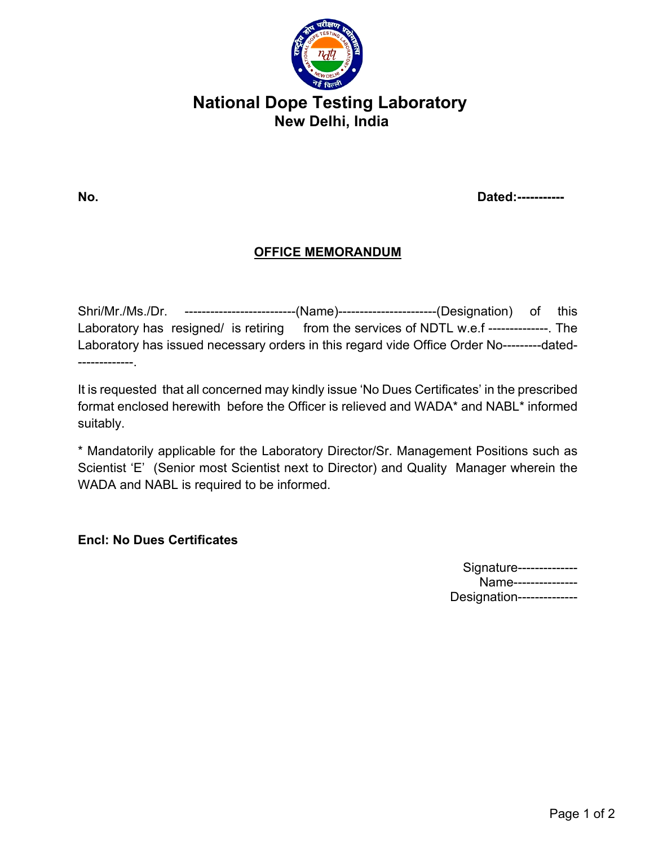

# **National Dope Testing Laboratory New Delhi, India**

**No. Dated:-----------** 

### **OFFICE MEMORANDUM**

Shri/Mr./Ms./Dr. --------------------------(Name)-----------------------(Designation) of this Laboratory has resigned/ is retiring from the services of NDTL w.e.f --------------. The Laboratory has issued necessary orders in this regard vide Office Order No---------dated- -------------.

It is requested that all concerned may kindly issue 'No Dues Certificates' in the prescribed format enclosed herewith before the Officer is relieved and WADA\* and NABL\* informed suitably.

\* Mandatorily applicable for the Laboratory Director/Sr. Management Positions such as Scientist 'E' (Senior most Scientist next to Director) and Quality Manager wherein the WADA and NABL is required to be informed.

#### **Encl: No Dues Certificates**

| Signature--------------   |
|---------------------------|
| Name---------------       |
| Designation-------------- |